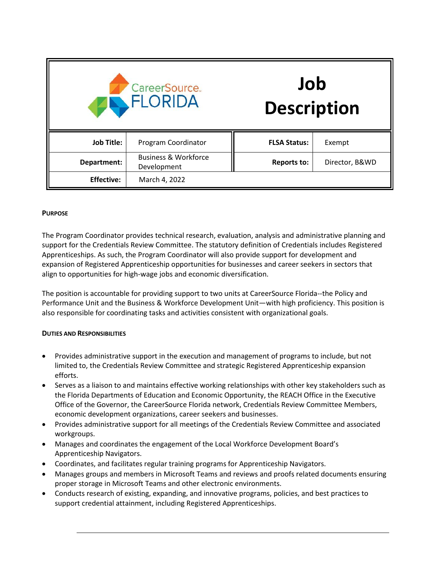| CareerSource.<br><b>FLORIDA</b> |                                                | Job<br><b>Description</b> |                |
|---------------------------------|------------------------------------------------|---------------------------|----------------|
| <b>Job Title:</b>               | Program Coordinator                            | <b>FLSA Status:</b>       | Exempt         |
| Department:                     | <b>Business &amp; Workforce</b><br>Development | <b>Reports to:</b>        | Director, B&WD |
| <b>Effective:</b>               | March 4, 2022                                  |                           |                |

## **PURPOSE**

The Program Coordinator provides technical research, evaluation, analysis and administrative planning and support for the Credentials Review Committee. The statutory definition of Credentials includes Registered Apprenticeships. As such, the Program Coordinator will also provide support for development and expansion of Registered Apprenticeship opportunities for businesses and career seekers in sectors that align to opportunities for high-wage jobs and economic diversification.

The position is accountable for providing support to two units at CareerSource Florida--the Policy and Performance Unit and the Business & Workforce Development Unit—with high proficiency. This position is also responsible for coordinating tasks and activities consistent with organizational goals.

# **DUTIES AND RESPONSIBILITIES**

- Provides administrative support in the execution and management of programs to include, but not limited to, the Credentials Review Committee and strategic Registered Apprenticeship expansion efforts.
- Serves as a liaison to and maintains effective working relationships with other key stakeholders such as the Florida Departments of Education and Economic Opportunity, the REACH Office in the Executive Office of the Governor, the CareerSource Florida network, Credentials Review Committee Members, economic development organizations, career seekers and businesses.
- Provides administrative support for all meetings of the Credentials Review Committee and associated workgroups.
- Manages and coordinates the engagement of the Local Workforce Development Board's Apprenticeship Navigators.
- Coordinates, and facilitates regular training programs for Apprenticeship Navigators.
- Manages groups and members in Microsoft Teams and reviews and proofs related documents ensuring proper storage in Microsoft Teams and other electronic environments.
- Conducts research of existing, expanding, and innovative programs, policies, and best practices to support credential attainment, including Registered Apprenticeships.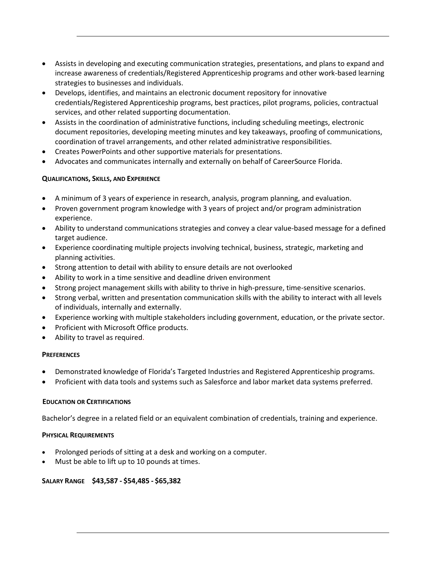- Assists in developing and executing communication strategies, presentations, and plans to expand and increase awareness of credentials/Registered Apprenticeship programs and other work-based learning strategies to businesses and individuals.
- Develops, identifies, and maintains an electronic document repository for innovative credentials/Registered Apprenticeship programs, best practices, pilot programs, policies, contractual services, and other related supporting documentation.
- Assists in the coordination of administrative functions, including scheduling meetings, electronic document repositories, developing meeting minutes and key takeaways, proofing of communications, coordination of travel arrangements, and other related administrative responsibilities.
- Creates PowerPoints and other supportive materials for presentations.
- Advocates and communicates internally and externally on behalf of CareerSource Florida.

## **QUALIFICATIONS, SKILLS, AND EXPERIENCE**

- A minimum of 3 years of experience in research, analysis, program planning, and evaluation.
- Proven government program knowledge with 3 years of project and/or program administration experience.
- Ability to understand communications strategies and convey a clear value-based message for a defined target audience.
- Experience coordinating multiple projects involving technical, business, strategic, marketing and planning activities.
- Strong attention to detail with ability to ensure details are not overlooked
- Ability to work in a time sensitive and deadline driven environment
- Strong project management skills with ability to thrive in high-pressure, time-sensitive scenarios.
- Strong verbal, written and presentation communication skills with the ability to interact with all levels of individuals, internally and externally.
- Experience working with multiple stakeholders including government, education, or the private sector.
- Proficient with Microsoft Office products.
- Ability to travel as required.

## **PREFERENCES**

- Demonstrated knowledge of Florida's Targeted Industries and Registered Apprenticeship programs.
- Proficient with data tools and systems such as Salesforce and labor market data systems preferred.

## **EDUCATION OR CERTIFICATIONS**

Bachelor's degree in a related field or an equivalent combination of credentials, training and experience.

## **PHYSICAL REQUIREMENTS**

- Prolonged periods of sitting at a desk and working on a computer.
- Must be able to lift up to 10 pounds at times.

## **SALARY RANGE \$43,587 - \$54,485 - \$65,382**